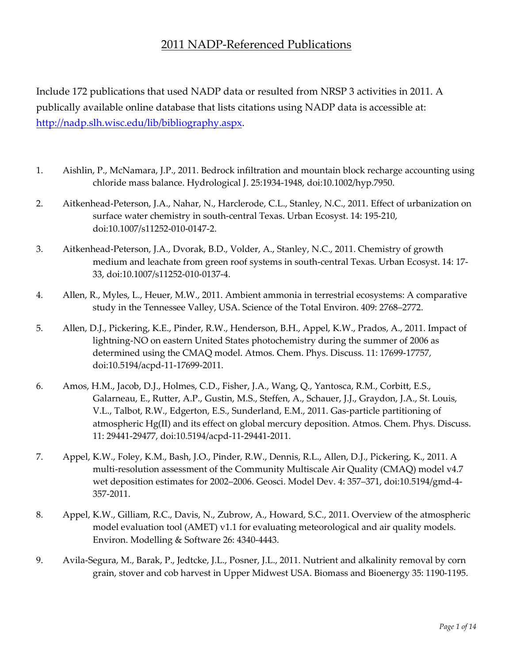## 2011 NADP-Referenced Publications

Include 172 publications that used NADP data or resulted from NRSP 3 activities in 2011. A publically available online database that lists citations using NADP data is accessible at: http://nadp.slh.wisc[.edu/lib/bibliography.aspx.](http://nadp.slh.wisc.edu/lib/bibliography.aspx) 

- 1. Aishlin, P., McNamara, J.P., 2011. Bedrock infiltration and mountain block recharge accounting using chloride mass balance. Hydrological J. 25:1934-1948, doi:10.1002/hyp.7950.
- 2. Aitkenhead-Peterson, J.A., Nahar, N., Harclerode, C.L., Stanley, N.C., 2011. Effect of urbanization on surface water chemistry in south-central Texas. Urban Ecosyst. 14: 195-210, doi:10.1007/s11252-010-0147-2.
- 3. Aitkenhead-Peterson, J.A., Dvorak, B.D., Volder, A., Stanley, N.C., 2011. Chemistry of growth medium and leachate from green roof systems in south-central Texas. Urban Ecosyst. 14: 17- 33, doi:10.1007/s11252-010-0137-4.
- 4. Allen, R., Myles, L., Heuer, M.W., 2011. Ambient ammonia in terrestrial ecosystems: A comparative study in the Tennessee Valley, USA. Science of the Total Environ. 409: 2768–2772.
- 5. Allen, D.J., Pickering, K.E., Pinder, R.W., Henderson, B.H., Appel, K.W., Prados, A., 2011. Impact of lightning-NO on eastern United States photochemistry during the summer of 2006 as determined using the CMAQ model. Atmos. Chem. Phys. Discuss. 11: 17699-17757, doi:10.5194/acpd-11-17699-2011.
- 6. Amos, H.M., Jacob, D.J., Holmes, C.D., Fisher, J.A., Wang, Q., Yantosca, R.M., Corbitt, E.S., Galarneau, E., Rutter, A.P., Gustin, M.S., Steffen, A., Schauer, J.J., Graydon, J.A., St. Louis, V.L., Talbot, R.W., Edgerton, E.S., Sunderland, E.M., 2011. Gas-particle partitioning of atmospheric Hg(II) and its effect on global mercury deposition. Atmos. Chem. Phys. Discuss. 11: 29441-29477, doi:10.5194/acpd-11-29441-2011.
- 7. Appel, K.W., Foley, K.M., Bash, J.O., Pinder, R.W., Dennis, R.L., Allen, D.J., Pickering, K., 2011. A multi-resolution assessment of the Community Multiscale Air Quality (CMAQ) model v4.7 wet deposition estimates for 2002–2006. Geosci. Model Dev. 4: 357–371, doi:10.5194/gmd-4- 357-2011.
- 8. Appel, K.W., Gilliam, R.C., Davis, N., Zubrow, A., Howard, S.C., 2011. Overview of the atmospheric model evaluation tool (AMET) v1.1 for evaluating meteorological and air quality models. Environ. Modelling & Software 26: 4340-4443.
- 9. Avila-Segura, M., Barak, P., Jedtcke, J.L., Posner, J.L., 2011. Nutrient and alkalinity removal by corn grain, stover and cob harvest in Upper Midwest USA. Biomass and Bioenergy 35: 1190-1195.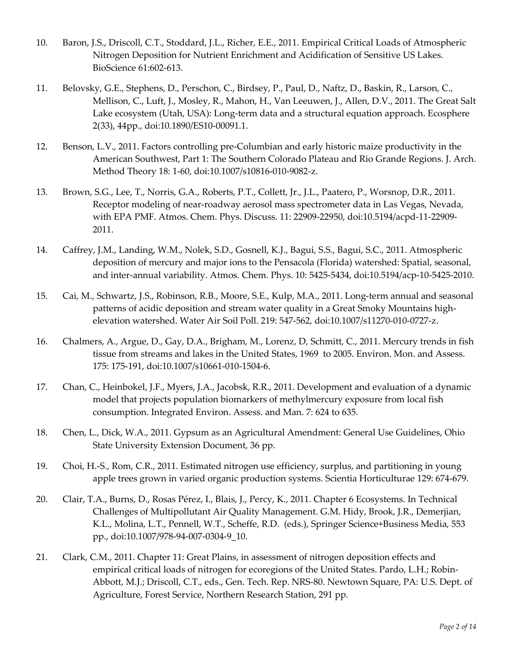- 10. Baron, J.S., Driscoll, C.T., Stoddard, J.L., Richer, E.E., 2011. Empirical Critical Loads of Atmospheric Nitrogen Deposition for Nutrient Enrichment and Acidification of Sensitive US Lakes. BioScience 61:602-613.
- 11. Belovsky, G.E., Stephens, D., Perschon, C., Birdsey, P., Paul, D., Naftz, D., Baskin, R., Larson, C., Mellison, C., Luft, J., Mosley, R., Mahon, H., Van Leeuwen, J., Allen, D.V., 2011. The Great Salt Lake ecosystem (Utah, USA): Long-term data and a structural equation approach. Ecosphere 2(33), 44pp., doi:10.1890/ES10-00091.1.
- 12. Benson, L.V., 2011. Factors controlling pre-Columbian and early historic maize productivity in the American Southwest, Part 1: The Southern Colorado Plateau and Rio Grande Regions. J. Arch. Method Theory 18: 1-60, doi:10.1007/s10816-010-9082-z.
- 13. Brown, S.G., Lee, T., Norris, G.A., Roberts, P.T., Collett, Jr., J.L., Paatero, P., Worsnop, D.R., 2011. Receptor modeling of near-roadway aerosol mass spectrometer data in Las Vegas, Nevada, with EPA PMF. Atmos. Chem. Phys. Discuss. 11: 22909-22950, doi:10.5194/acpd-11-22909- 2011.
- 14. Caffrey, J.M., Landing, W.M., Nolek, S.D., Gosnell, K.J., Bagui, S.S., Bagui, S.C., 2011. Atmospheric deposition of mercury and major ions to the Pensacola (Florida) watershed: Spatial, seasonal, and inter-annual variability. Atmos. Chem. Phys. 10: 5425-5434, doi:10.5194/acp-10-5425-2010.
- 15. Cai, M., Schwartz, J.S., Robinson, R.B., Moore, S.E., Kulp, M.A., 2011. Long-term annual and seasonal patterns of acidic deposition and stream water quality in a Great Smoky Mountains highelevation watershed. Water Air Soil Poll. 219: 547-562, doi:10.1007/s11270-010-0727-z.
- 16. Chalmers, A., Argue, D., Gay, D.A., Brigham, M., Lorenz, D, Schmitt, C., 2011. Mercury trends in fish tissue from streams and lakes in the United States, 1969 to 2005. Environ. Mon. and Assess. 175: 175-191, doi:10.1007/s10661-010-1504-6.
- 17. Chan, C., Heinbokel, J.F., Myers, J.A., Jacobsk, R.R., 2011. Development and evaluation of a dynamic model that projects population biomarkers of methylmercury exposure from local fish consumption. Integrated Environ. Assess. and Man. 7: 624 to 635.
- 18. Chen, L., Dick, W.A., 2011. Gypsum as an Agricultural Amendment: General Use Guidelines, Ohio State University Extension Document, 36 pp.
- 19. Choi, H.-S., Rom, C.R., 2011. Estimated nitrogen use efficiency, surplus, and partitioning in young apple trees grown in varied organic production systems. Scientia Horticulturae 129: 674-679.
- 20. Clair, T.A., Burns, D., Rosas Pérez, I., Blais, J., Percy, K., 2011. Chapter 6 Ecosystems. In Technical Challenges of Multipollutant Air Quality Management. G.M. Hidy, Brook, J.R., Demerjian, K.L., Molina, L.T., Pennell, W.T., Scheffe, R.D. (eds.), Springer Science+Business Media, 553 pp., doi:10.1007/978-94-007-0304-9\_10.
- 21. Clark, C.M., 2011. Chapter 11: Great Plains, in assessment of nitrogen deposition effects and empirical critical loads of nitrogen for ecoregions of the United States. [Pardo, L.H.;](http://www.nrs.fs.fed.us/people/lpardo) [Robin-](http://www.nrs.fs.fed.us/people/mrobinabbott)[Abbott, M.J.;](http://www.nrs.fs.fed.us/people/mrobinabbott) Driscoll, C.T., eds., Gen. Tech. Rep. NRS-80. Newtown Square, PA: U.S. Dept. of Agriculture, Forest Service, Northern Research Station, 291 pp.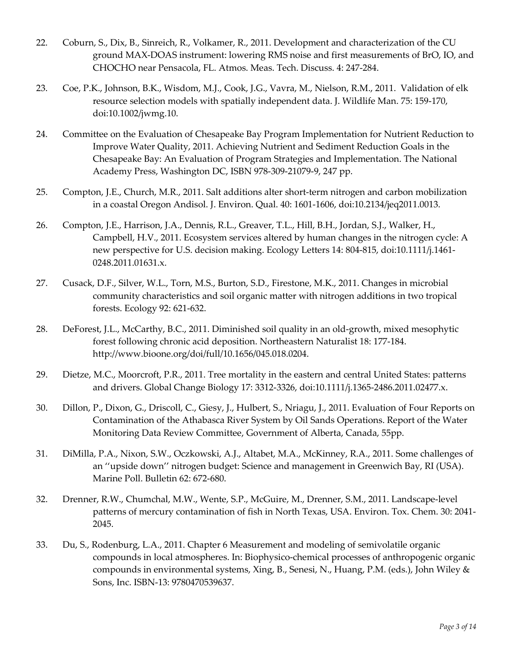- 22. Coburn, S., Dix, B., Sinreich, R., Volkamer, R., 2011. Development and characterization of the CU ground MAX-DOAS instrument: lowering RMS noise and first measurements of BrO, IO, and CHOCHO near Pensacola, FL. Atmos. Meas. Tech. Discuss. 4: 247-284.
- 23. Coe, P.K., Johnson, B.K., Wisdom, M.J., Cook, J.G., Vavra, M., Nielson, R.M., 2011. Validation of elk resource selection models with spatially independent data. J. Wildlife Man. 75: 159-170, doi:10.1002/jwmg.10.
- 24. Committee on the Evaluation of Chesapeake Bay Program Implementation for Nutrient Reduction to Improve Water Quality, 2011. Achieving Nutrient and Sediment Reduction Goals in the Chesapeake Bay: An Evaluation of Program Strategies and Implementation. The National Academy Press, Washington DC, ISBN 978-309-21079-9, 247 pp.
- 25. Compton, J.E., Church, M.R., 2011. Salt additions alter short-term nitrogen and carbon mobilization in a coastal Oregon Andisol. J. Environ. Qual. 40: 1601-1606, doi:10.2134/jeq2011.0013.
- 26. Compton, J.E., Harrison, J.A., Dennis, R.L., Greaver, T.L., Hill, B.H., Jordan, S.J., Walker, H., Campbell, H.V., 2011. Ecosystem services altered by human changes in the nitrogen cycle: A new perspective for U.S. decision making. Ecology Letters 14: 804-815, doi:10.1111/j.1461- 0248.2011.01631.x.
- 27. Cusack, D.F., Silver, W.L., Torn, M.S., Burton, S.D., Firestone, M.K., 2011. Changes in microbial community characteristics and soil organic matter with nitrogen additions in two tropical forests. Ecology 92: 621-632.
- 28. DeForest, J.L., McCarthy, B.C., 2011. Diminished soil quality in an old-growth, mixed mesophytic forest following chronic acid deposition. Northeastern Naturalist 18: 177-184. [http://www.bioone.org/doi/full/10.1656/045.018.0204.](http://www.bioone.org/doi/full/10.1656/045.018.0204)
- 29. Dietze, M.C., Moorcroft, P.R., 2011. Tree mortality in the eastern and central United States: patterns and drivers. Global Change Biology 17: 3312-3326, doi:10.1111/j.1365-2486.2011.02477.x.
- 30. Dillon, P., Dixon, G., Driscoll, C., Giesy, J., Hulbert, S., Nriagu, J., 2011. Evaluation of Four Reports on Contamination of the Athabasca River System by Oil Sands Operations. Report of the Water Monitoring Data Review Committee, Government of Alberta, Canada, 55pp.
- 31. DiMilla, P.A., Nixon, S.W., Oczkowski, A.J., Altabet, M.A., McKinney, R.A., 2011. Some challenges of an ''upside down'' nitrogen budget: Science and management in Greenwich Bay, RI (USA). Marine Poll. Bulletin 62: 672-680.
- 32. Drenner, R.W., Chumchal, M.W., Wente, S.P., McGuire, M., Drenner, S.M., 2011. Landscape-level patterns of mercury contamination of fish in North Texas, USA. Environ. Tox. Chem. 30: 2041- 2045.
- 33. Du, S., Rodenburg, L.A., 2011. Chapter 6 Measurement and modeling of semivolatile organic compounds in local atmospheres. In: Biophysico-chemical processes of anthropogenic organic compounds in environmental systems, Xing, B., Senesi, N., Huang, P.M. (eds.), John Wiley & Sons, Inc. ISBN-13: 9780470539637.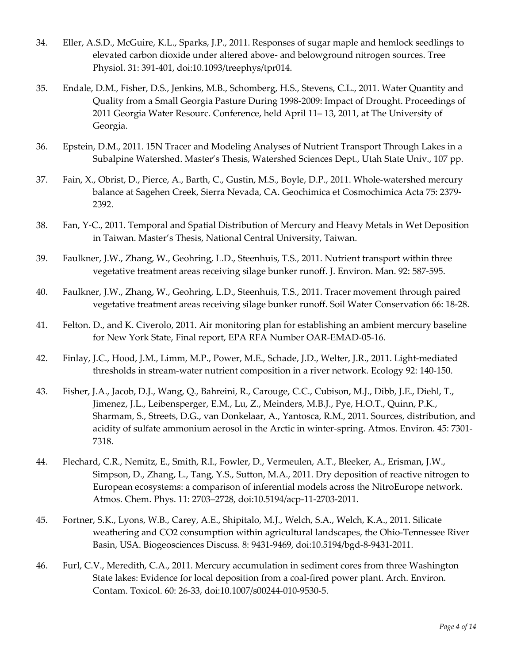- 34. Eller, A.S.D., McGuire, K.L., Sparks, J.P., 2011. Responses of sugar maple and hemlock seedlings to elevated carbon dioxide under altered above- and belowground nitrogen sources. Tree Physiol. 31: 391-401, doi:10.1093/treephys/tpr014.
- 35. Endale, D.M., Fisher, D.S., Jenkins, M.B., Schomberg, H.S., Stevens, C.L., 2011. Water Quantity and Quality from a Small Georgia Pasture During 1998-2009: Impact of Drought. Proceedings of 2011 Georgia Water Resourc. Conference, held April 11– 13, 2011, at The University of Georgia.
- 36. Epstein, D.M., 2011. 15N Tracer and Modeling Analyses of Nutrient Transport Through Lakes in a Subalpine Watershed. Master's Thesis, Watershed Sciences Dept., Utah State Univ., 107 pp.
- 37. Fain, X., Obrist, D., Pierce, A., Barth, C., Gustin, M.S., Boyle, D.P., 2011. Whole-watershed mercury balance at Sagehen Creek, Sierra Nevada, CA. Geochimica et Cosmochimica Acta 75: 2379- 2392.
- 38. Fan, Y-C., 2011. Temporal and Spatial Distribution of Mercury and Heavy Metals in Wet Deposition in Taiwan. Master's Thesis, National Central University, Taiwan.
- 39. Faulkner, J.W., Zhang, W., Geohring, L.D., Steenhuis, T.S., 2011. Nutrient transport within three vegetative treatment areas receiving silage bunker runoff. J. Environ. Man. 92: 587-595.
- 40. Faulkner, J.W., Zhang, W., Geohring, L.D., Steenhuis, T.S., 2011. Tracer movement through paired vegetative treatment areas receiving silage bunker runoff. Soil Water Conservation 66: 18-28.
- 41. Felton. D., and K. Civerolo, 2011. Air monitoring plan for establishing an ambient mercury baseline for New York State, Final report, EPA RFA Number OAR-EMAD-05-16.
- 42. Finlay, J.C., Hood, J.M., Limm, M.P., Power, M.E., Schade, J.D., Welter, J.R., 2011. Light-mediated thresholds in stream-water nutrient composition in a river network. Ecology 92: 140-150.
- 43. Fisher, J.A., Jacob, D.J., Wang, Q., Bahreini, R., Carouge, C.C., Cubison, M.J., Dibb, J.E., Diehl, T., Jimenez, J.L., Leibensperger, E.M., Lu, Z., Meinders, M.B.J., Pye, H.O.T., Quinn, P.K., Sharmam, S., Streets, D.G., van Donkelaar, A., Yantosca, R.M., 2011. Sources, distribution, and acidity of sulfate ammonium aerosol in the Arctic in winter-spring. Atmos. Environ. 45: 7301- 7318.
- 44. Flechard, C.R., Nemitz, E., Smith, R.I., Fowler, D., Vermeulen, A.T., Bleeker, A., Erisman, J.W., Simpson, D., Zhang, L., Tang, Y.S., Sutton, M.A., 2011. Dry deposition of reactive nitrogen to European ecosystems: a comparison of inferential models across the NitroEurope network. Atmos. Chem. Phys. 11: 2703–2728, doi:10.5194/acp-11-2703-2011.
- 45. Fortner, S.K., Lyons, W.B., Carey, A.E., Shipitalo, M.J., Welch, S.A., Welch, K.A., 2011. Silicate weathering and CO2 consumption within agricultural landscapes, the Ohio-Tennessee River Basin, USA. Biogeosciences Discuss. 8: 9431-9469, doi:10.5194/bgd-8-9431-2011.
- 46. Furl, C.V., Meredith, C.A., 2011. Mercury accumulation in sediment cores from three Washington State lakes: Evidence for local deposition from a coal-fired power plant. Arch. Environ. Contam. Toxicol. 60: 26-33, doi:10.1007/s00244-010-9530-5.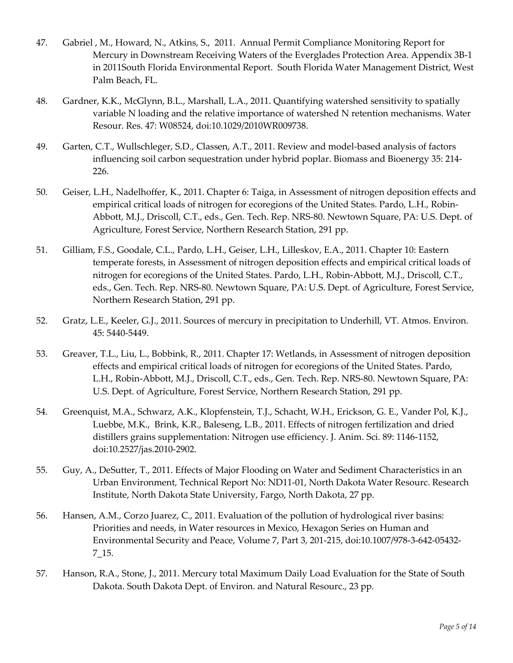- 47. Gabriel , M., Howard, N., Atkins, S., 2011. Annual Permit Compliance Monitoring Report for Mercury in Downstream Receiving Waters of the Everglades Protection Area. Appendix 3B-1 in 2011South Florida Environmental Report. South Florida Water Management District, West Palm Beach, FL.
- 48. Gardner, K.K., McGlynn, B.L., Marshall, L.A., 2011. Quantifying watershed sensitivity to spatially variable N loading and the relative importance of watershed N retention mechanisms. Water Resour. Res. 47: W08524, doi:10.1029/2010WR009738.
- 49. Garten, C.T., Wullschleger, S.D., Classen, A.T., 2011. Review and model-based analysis of factors influencing soil carbon sequestration under hybrid poplar. Biomass and Bioenergy 35: 214- 226.
- 50. Geiser, L.H., Nadelhoffer, K., 2011. Chapter 6: Taiga, in Assessment of nitrogen deposition effects and empirical critical loads of nitrogen for ecoregions of the United States. [Pardo, L.H.,](http://www.nrs.fs.fed.us/people/lpardo) [Robin-](http://www.nrs.fs.fed.us/people/mrobinabbott)[Abbott, M.J.,](http://www.nrs.fs.fed.us/people/mrobinabbott) Driscoll, C.T., eds., Gen. Tech. Rep. NRS-80. Newtown Square, PA: U.S. Dept. of Agriculture, Forest Service, Northern Research Station, 291 pp.
- 51. Gilliam, F.S., Goodale, C.L., Pardo, L.H., Geiser, L.H., Lilleskov, E.A., 2011. Chapter 10: Eastern temperate forests, in Assessment of nitrogen deposition effects and empirical critical loads of nitrogen for ecoregions of the United States. [Pardo, L.H.,](http://www.nrs.fs.fed.us/people/lpardo) [Robin-Abbott, M.J.,](http://www.nrs.fs.fed.us/people/mrobinabbott) Driscoll, C.T., eds., Gen. Tech. Rep. NRS-80. Newtown Square, PA: U.S. Dept. of Agriculture, Forest Service, Northern Research Station, 291 pp.
- 52. Gratz, L.E., Keeler, G.J., 2011. Sources of mercury in precipitation to Underhill, VT. Atmos. Environ. 45: 5440-5449.
- 53. Greaver, T.L., Liu, L., Bobbink, R., 2011. Chapter 17: Wetlands, in Assessment of nitrogen deposition effects and empirical critical loads of nitrogen for ecoregions of the United States. [Pardo,](http://www.nrs.fs.fed.us/people/lpardo)  [L.H.,](http://www.nrs.fs.fed.us/people/lpardo) [Robin-Abbott, M.J.,](http://www.nrs.fs.fed.us/people/mrobinabbott) Driscoll, C.T., eds., Gen. Tech. Rep. NRS-80. Newtown Square, PA: U.S. Dept. of Agriculture, Forest Service, Northern Research Station, 291 pp.
- 54. Greenquist, M.A., Schwarz, A.K., Klopfenstein, T.J., Schacht, W.H., Erickson, G. E., Vander Pol, K.J., Luebbe, M.K., Brink, K.R., Baleseng, L.B., 2011. Effects of nitrogen fertilization and dried distillers grains supplementation: Nitrogen use efficiency. J. Anim. Sci. 89: 1146-1152, doi:10.2527/jas.2010-2902.
- 55. Guy, A., DeSutter, T., 2011. Effects of Major Flooding on Water and Sediment Characteristics in an Urban Environment, Technical Report No: ND11-01, North Dakota Water Resourc. Research Institute, North Dakota State University, Fargo, North Dakota, 27 pp.
- 56. Hansen, A.M., Corzo Juarez, C., 2011. Evaluation of the pollution of hydrological river basins: Priorities and needs, in Water resources in Mexico, [Hexagon Series on Human and](http://www.springerlink.com/content/1865-5793/)  [Environmental Security and Peace,](http://www.springerlink.com/content/1865-5793/) Volume 7, Part 3, 201-215, doi:10.1007/978-3-642-05432- 7\_15.
- 57. Hanson, R.A., Stone, J., 2011. Mercury total Maximum Daily Load Evaluation for the State of South Dakota. South Dakota Dept. of Environ. and Natural Resourc., 23 pp.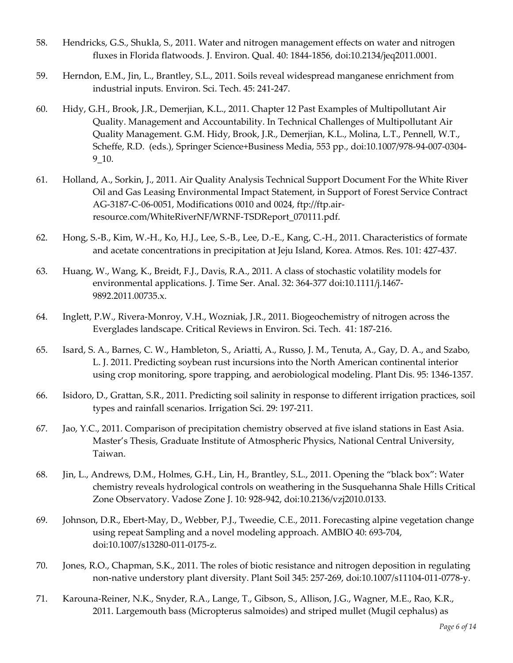- 58. Hendricks, G.S., Shukla, S., 2011. Water and nitrogen management effects on water and nitrogen fluxes in Florida flatwoods. J. Environ. Qual. 40: 1844-1856, doi:10.2134/jeq2011.0001.
- 59. Herndon, E.M., Jin, L., Brantley, S.L., 2011. Soils reveal widespread manganese enrichment from industrial inputs. Environ. Sci. Tech. 45: 241-247.
- 60. Hidy, G.H., Brook, J.R., Demerjian, K.L., 2011. Chapter 12 Past Examples of Multipollutant Air Quality. Management and Accountability. In Technical Challenges of Multipollutant Air Quality Management. G.M. Hidy, Brook, J.R., Demerjian, K.L., Molina, L.T., Pennell, W.T., Scheffe, R.D. (eds.), Springer Science+Business Media, 553 pp., doi:10.1007/978-94-007-0304- 9\_10.
- 61. Holland, A., Sorkin, J., 2011. Air Quality Analysis Technical Support Document For the White River Oil and Gas Leasing Environmental Impact Statement, in Support of Forest Service Contract AG-3187-C-06-0051, Modifications 0010 and 0024, [ftp://ftp.air](ftp://ftp.air-resource.com/WhiteRiverNF/WRNF-TSDReport_070111.pdf)[resource.com/WhiteRiverNF/WRNF-TSDReport\\_070111.pdf.](ftp://ftp.air-resource.com/WhiteRiverNF/WRNF-TSDReport_070111.pdf)
- 62. Hong, S.-B., Kim, W.-H., Ko, H.J., Lee, S.-B., Lee, D.-E., Kang, C.-H., 2011. Characteristics of formate and acetate concentrations in precipitation at Jeju Island, Korea. Atmos. Res. 101: 427-437.
- 63. Huang, W., Wang, K., Breidt, F.J., Davis, R.A., 2011. A class of stochastic volatility models for environmental applications. J. Time Ser. Anal. 32: 364-377 doi:10.1111/j.1467- 9892.2011.00735.x.
- 64. Inglett, P.W., Rivera-Monroy, V.H., Wozniak, J.R., 2011. Biogeochemistry of nitrogen across the Everglades landscape. Critical Reviews in Environ. Sci. Tech. 41: 187-216.
- 65. Isard, S. A., Barnes, C. W., Hambleton, S., Ariatti, A., Russo, J. M., Tenuta, A., Gay, D. A., and Szabo, L. J. 2011. Predicting soybean rust incursions into the North American continental interior using crop monitoring, spore trapping, and aerobiological modeling. Plant Dis. 95: 1346-1357.
- 66. Isidoro, D., Grattan, S.R., 2011. Predicting soil salinity in response to different irrigation practices, soil types and rainfall scenarios. Irrigation Sci. 29: 197-211.
- 67. Jao, Y.C., 2011. Comparison of precipitation chemistry observed at five island stations in East Asia. Master's Thesis, Graduate Institute of Atmospheric Physics, National Central University, Taiwan.
- 68. Jin, L., Andrews, D.M., Holmes, G.H., Lin, H., Brantley, S.L., 2011. Opening the "black box": Water chemistry reveals hydrological controls on weathering in the Susquehanna Shale Hills Critical Zone Observatory. Vadose Zone J. 10: 928-942, doi:10.2136/vzj2010.0133.
- 69. Johnson, D.R., Ebert-May, D., Webber, P.J., Tweedie, C.E., 2011. Forecasting alpine vegetation change using repeat Sampling and a novel modeling approach. AMBIO 40: 693-704, doi:10.1007/s13280-011-0175-z.
- 70. Jones, R.O., Chapman, S.K., 2011. The roles of biotic resistance and nitrogen deposition in regulating non-native understory plant diversity. Plant Soil 345: 257-269, doi:10.1007/s11104-011-0778-y.
- 71. Karouna-Reiner, N.K., Snyder, R.A., Lange, T., Gibson, S., Allison, J.G., Wagner, M.E., Rao, K.R., 2011. Largemouth bass (Micropterus salmoides) and striped mullet (Mugil cephalus) as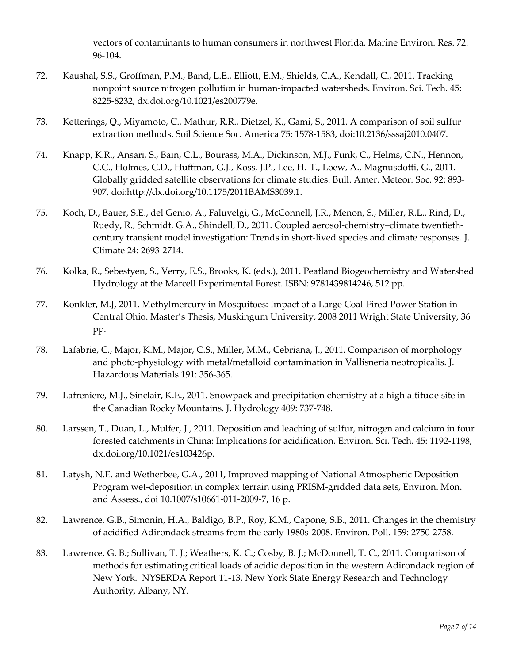vectors of contaminants to human consumers in northwest Florida. Marine Environ. Res. 72: 96-104.

- 72. Kaushal, S.S., Groffman, P.M., Band, L.E., Elliott, E.M., Shields, C.A., Kendall, C., 2011. Tracking nonpoint source nitrogen pollution in human-impacted watersheds. Environ. Sci. Tech. 45: 8225-8232, dx.doi.org/10.1021/es200779e.
- 73. Ketterings, Q., Miyamoto, C., Mathur, R.R., Dietzel, K., Gami, S., 2011. A comparison of soil sulfur extraction methods. Soil Science Soc. America 75: 1578-1583, doi:10.2136/sssaj2010.0407.
- 74. Knapp, K.R., Ansari, S., Bain, C.L., Bourass, M.A., Dickinson, M.J., Funk, C., Helms, C.N., Hennon, C.C., Holmes, C.D., Huffman, G.J., Koss, J.P., Lee, H.-T., Loew, A., Magnusdotti, G., 2011. Globally gridded satellite observations for climate studies. Bull. Amer. Meteor. Soc. 92: 893- 907, doi[:http://dx.doi.org/10.1175/2011BAMS3039.1.](http://dx.doi.org/10.1175/2011BAMS3039.1)
- 75. Koch, D., Bauer, S.E., del Genio, A., Faluvelgi, G., McConnell, J.R., Menon, S., Miller, R.L., Rind, D., Ruedy, R., Schmidt, G.A., Shindell, D., 2011. Coupled aerosol-chemistry–climate twentiethcentury transient model investigation: Trends in short-lived species and climate responses. J. Climate 24: 2693-2714.
- 76. Kolka, R., Sebestyen, S., Verry, E.S., Brooks, K. (eds.), 2011. Peatland Biogeochemistry and Watershed Hydrology at the Marcell Experimental Forest. ISBN: 9781439814246, 512 pp.
- 77. Konkler, M.J, 2011. Methylmercury in Mosquitoes: Impact of a Large Coal-Fired Power Station in Central Ohio. Master's Thesis, Muskingum University, 2008 2011 Wright State University, 36 pp.
- 78. Lafabrie, C., Major, K.M., Major, C.S., Miller, M.M., Cebriana, J., 2011. Comparison of morphology and photo-physiology with metal/metalloid contamination in Vallisneria neotropicalis. J. Hazardous Materials 191: 356-365.
- 79. Lafreniere, M.J., Sinclair, K.E., 2011. Snowpack and precipitation chemistry at a high altitude site in the Canadian Rocky Mountains. J. Hydrology 409: 737-748.
- 80. Larssen, T., Duan, L., Mulfer, J., 2011. Deposition and leaching of sulfur, nitrogen and calcium in four forested catchments in China: Implications for acidification. Environ. Sci. Tech. 45: 1192-1198, dx.doi.org/10.1021/es103426p.
- 81. Latysh, N.E. and Wetherbee, G.A., 2011, Improved mapping of National Atmospheric Deposition Program wet-deposition in complex terrain using PRISM-gridded data sets, Environ. Mon. and Assess., doi 10.1007/s10661-011-2009-7, 16 p.
- 82. Lawrence, G.B., Simonin, H.A., Baldigo, B.P., Roy, K.M., Capone, S.B., 2011. Changes in the chemistry of acidified Adirondack streams from the early 1980s-2008. Environ. Poll. 159: 2750-2758.
- 83. Lawrence, G. B.; Sullivan, T. J.; Weathers, K. C.; Cosby, B. J.; McDonnell, T. C., 2011. Comparison of methods for estimating critical loads of acidic deposition in the western Adirondack region of New York. NYSERDA Report 11-13, New York State Energy Research and Technology Authority, Albany, NY.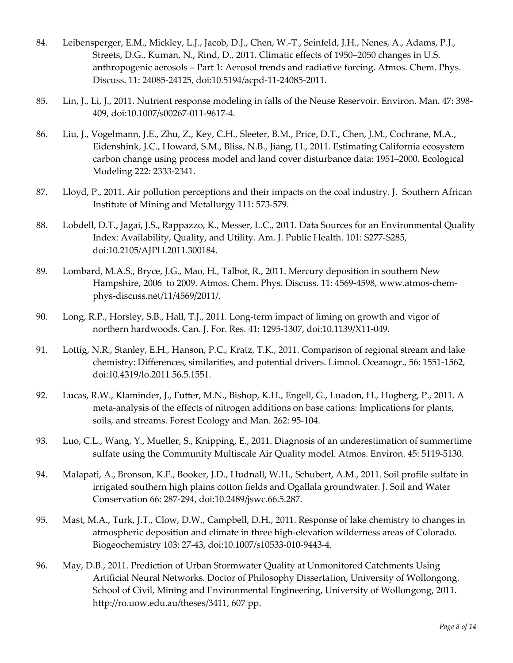- 84. Leibensperger, E.M., Mickley, L.J., Jacob, D.J., Chen, W.-T., Seinfeld, J.H., Nenes, A., Adams, P.J., Streets, D.G., Kuman, N., Rind, D., 2011. Climatic effects of 1950–2050 changes in U.S. anthropogenic aerosols – Part 1: Aerosol trends and radiative forcing. Atmos. Chem. Phys. Discuss. 11: 24085-24125, doi:10.5194/acpd-11-24085-2011.
- 85. Lin, J., Li, J., 2011. Nutrient response modeling in falls of the Neuse Reservoir. Environ. Man. 47: 398- 409, doi:10.1007/s00267-011-9617-4.
- 86. Liu, J., Vogelmann, J.E., Zhu, Z., Key, C.H., Sleeter, B.M., Price, D.T., Chen, J.M., Cochrane, M.A., Eidenshink, J.C., Howard, S.M., Bliss, N.B., Jiang, H., 2011. Estimating California ecosystem carbon change using process model and land cover disturbance data: 1951–2000. [Ecological](http://www.sciencedirect.com/science/journal/03043800)  [Modeling](http://www.sciencedirect.com/science/journal/03043800) 222: 2333-2341.
- 87. Lloyd, P., 2011. Air pollution perceptions and their impacts on the coal industry. J. Southern African Institute of Mining and Metallurgy 111: 573-579.
- 88. Lobdell, D.T., Jagai, J.S., Rappazzo, K., Messer, L.C., 2011. Data Sources for an Environmental Quality Index: Availability, Quality, and Utility. Am. J. Public Health. 101: S277-S285, doi:10.2105/AJPH.2011.300184.
- 89. Lombard, M.A.S., Bryce, J.G., Mao, H., Talbot, R., 2011. Mercury deposition in southern New Hampshire, 2006 to 2009. Atmos. Chem. Phys. Discuss. 11: 4569-4598, [www.atmos-chem](http://www.atmos-chem-phys-discuss.net/11/4569/2011/)[phys-discuss.net/11/4569/2011/.](http://www.atmos-chem-phys-discuss.net/11/4569/2011/)
- 90. Long, R.P., Horsley, S.B., Hall, T.J., 2011. Long-term impact of liming on growth and vigor of northern hardwoods. Can. J. For. Res. 41: 1295-1307, doi:10.1139/X11-049.
- 91. Lottig, N.R., Stanley, E.H., Hanson, P.C., Kratz, T.K., 2011. Comparison of regional stream and lake chemistry: Differences, similarities, and potential drivers. Limnol. Oceanogr., 56: 1551-1562, doi:10.4319/lo.2011.56.5.1551.
- 92. Lucas, R.W., Klaminder, J., Futter, M.N., Bishop, K.H., Engell, G., Luadon, H., Hogberg, P., 2011. A meta-analysis of the effects of nitrogen additions on base cations: Implications for plants, soils, and streams. Forest Ecology and Man. 262: 95-104.
- 93. Luo, C.L., Wang, Y., Mueller, S., Knipping, E., 2011. Diagnosis of an underestimation of summertime sulfate using the Community Multiscale Air Quality model. Atmos. Environ. 45: 5119-5130.
- 94. Malapati, A., Bronson, K.F., Booker, J.D., Hudnall, W.H., Schubert, A.M., 2011. Soil profile sulfate in irrigated southern high plains cotton fields and Ogallala groundwater. J. Soil and Water Conservation 66: 287-294, doi:10.2489/jswc.66.5.287.
- 95. Mast, M.A., Turk, J.T., Clow, D.W., Campbell, D.H., 2011. Response of lake chemistry to changes in atmospheric deposition and climate in three high-elevation wilderness areas of Colorado. Biogeochemistry 103: 27-43, doi:10.1007/s10533-010-9443-4.
- 96. May, D.B., 2011. Prediction of Urban Stormwater Quality at Unmonitored Catchments Using Artificial Neural Networks. Doctor of Philosophy Dissertation, University of Wollongong. School of Civil, Mining and Environmental Engineering, University of Wollongong, 2011. [http://ro.uow.edu.au/theses/3411,](http://ro.uow.edu.au/theses/3411) 607 pp.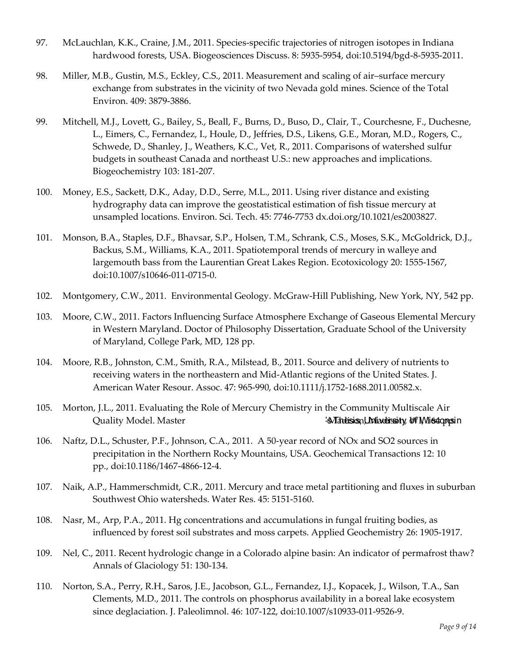- 97. McLauchlan, K.K., Craine, J.M., 2011. Species-specific trajectories of nitrogen isotopes in Indiana hardwood forests, USA. Biogeosciences Discuss. 8: 5935-5954, doi:10.5194/bgd-8-5935-2011.
- 98. Miller, M.B., Gustin, M.S., Eckley, C.S., 2011. Measurement and scaling of air–surface mercury exchange from substrates in the vicinity of two Nevada gold mines. Science of the Total Environ. 409: 3879-3886.
- 99. Mitchell, M.J., Lovett, G., Bailey, S., Beall, F., Burns, D., Buso, D., Clair, T., Courchesne, F., Duchesne, L., Eimers, C., Fernandez, I., Houle, D., Jeffries, D.S., Likens, G.E., Moran, M.D., Rogers, C., Schwede, D., Shanley, J., Weathers, K.C., Vet, R., 2011. Comparisons of watershed sulfur budgets in southeast Canada and northeast U.S.: new approaches and implications. Biogeochemistry 103: 181-207.
- 100. Money, E.S., Sackett, D.K., Aday, D.D., Serre, M.L., 2011. Using river distance and existing hydrography data can improve the geostatistical estimation of fish tissue mercury at unsampled locations. Environ. Sci. Tech. 45: 7746-7753 dx.doi.org/10.1021/es2003827.
- 101. Monson, B.A., Staples, D.F., Bhavsar, S.P., Holsen, T.M., Schrank, C.S., Moses, S.K., McGoldrick, D.J., Backus, S.M., Williams, K.A., 2011. Spatiotemporal trends of mercury in walleye and largemouth bass from the Laurentian Great Lakes Region. Ecotoxicology 20: 1555-1567, doi:10.1007/s10646-011-0715-0.
- 102. Montgomery, C.W., 2011. Environmental Geology. McGraw-Hill Publishing, New York, NY, 542 pp.
- 103. Moore, C.W., 2011. Factors Influencing Surface Atmosphere Exchange of Gaseous Elemental Mercury in Western Maryland. Doctor of Philosophy Dissertation, Graduate School of the University of Maryland, College Park, MD, 128 pp.
- 104. Moore, R.B., Johnston, C.M., Smith, R.A., Milstead, B., 2011. Source and delivery of nutrients to receiving waters in the northeastern and Mid-Atlantic regions of the United States. J. American Water Resour. Assoc. 47: 965-990, doi:10.1111/j.1752-1688.2011.00582.x.
- 105. Morton, J.L., 2011. Evaluating the Role of Mercury Chemistry in the Community Multiscale Air Quality Model. Master '-s Thesis, University of Wisconsin Madison, Madison, WI, 164 pp.
- 106. Naftz, D.L., Schuster, P.F., Johnson, C.A., 2011. A 50-year record of NOx and SO2 sources in precipitation in the Northern Rocky Mountains, USA. Geochemical Transactions 12: 10 pp., doi:10.1186/1467-4866-12-4.
- 107. Naik, A.P., Hammerschmidt, C.R., 2011. Mercury and trace metal partitioning and fluxes in suburban Southwest Ohio watersheds. Water Res. 45: 5151-5160.
- 108. Nasr, M., Arp, P.A., 2011. Hg concentrations and accumulations in fungal fruiting bodies, as influenced by forest soil substrates and moss carpets. Applied Geochemistry 26: 1905-1917.
- 109. Nel, C., 2011. Recent hydrologic change in a Colorado alpine basin: An indicator of permafrost thaw? [Annals of Glaciology](http://ilurbana.library.ingentaconnect.com/content/igsoc/agl) 51: 130-134.
- 110. Norton, S.A., Perry, R.H., Saros, J.E., Jacobson, G.L., Fernandez, I.J., Kopacek, J., Wilson, T.A., San Clements, M.D., 2011. The controls on phosphorus availability in a boreal lake ecosystem since deglaciation. J. Paleolimnol. 46: 107-122, doi:10.1007/s10933-011-9526-9.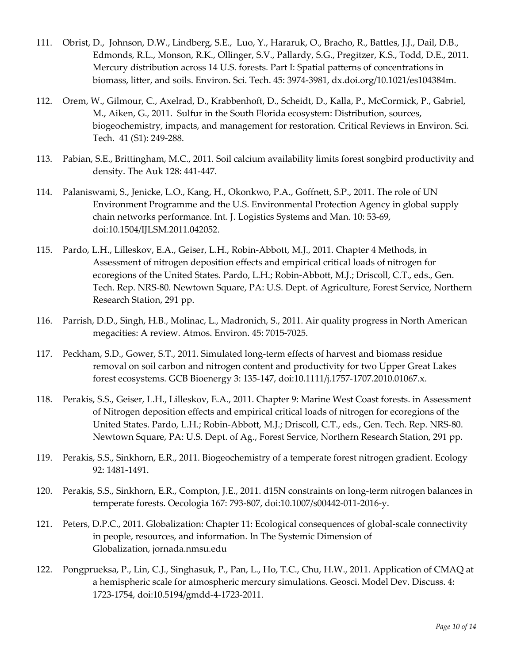- 111. Obrist, D., Johnson, D.W., Lindberg, S.E., Luo, Y., Hararuk, O., Bracho, R., Battles, J.J., Dail, D.B., Edmonds, R.L., Monson, R.K., Ollinger, S.V., Pallardy, S.G., Pregitzer, K.S., Todd, D.E., 2011. Mercury distribution across 14 U.S. forests. Part I: Spatial patterns of concentrations in biomass, litter, and soils. Environ. Sci. Tech. 45: 3974-3981, dx.doi.org/10.1021/es104384m.
- 112. Orem, W., Gilmour, C., Axelrad, D., Krabbenhoft, D., Scheidt, D., Kalla, P., McCormick, P., Gabriel, M., Aiken, G., 2011. Sulfur in the South Florida ecosystem: Distribution, sources, biogeochemistry, impacts, and management for restoration. Critical Reviews in Environ. Sci. Tech. 41 (S1): 249-288.
- 113. Pabian, S.E., Brittingham, M.C., 2011. Soil calcium availability limits forest songbird productivity and density. The Auk 128: 441-447.
- 114. Palaniswami, S., Jenicke, L.O., Kang, H., Okonkwo, P.A., Goffnett, S.P., 2011. The role of UN Environment Programme and the U.S. Environmental Protection Agency in global supply chain networks performance. Int. J. Logistics Systems and Man. 10: 53-69, doi:10.1504/IJLSM.2011.042052.
- 115. Pardo, L.H., Lilleskov, E.A., Geiser, L.H., Robin-Abbott, M.J., 2011. Chapter 4 Methods, in Assessment of nitrogen deposition effects and empirical critical loads of nitrogen for ecoregions of the United States. [Pardo, L.H.;](http://www.nrs.fs.fed.us/people/lpardo) [Robin-Abbott, M.J.;](http://www.nrs.fs.fed.us/people/mrobinabbott) Driscoll, C.T., eds., Gen. Tech. Rep. NRS-80. Newtown Square, PA: U.S. Dept. of Agriculture, Forest Service, Northern Research Station, 291 pp.
- 116. Parrish, D.D., Singh, H.B., Molinac, L., Madronich, S., 2011. Air quality progress in North American megacities: A review. Atmos. Environ. 45: 7015-7025.
- 117. Peckham, S.D., Gower, S.T., 2011. Simulated long-term effects of harvest and biomass residue removal on soil carbon and nitrogen content and productivity for two Upper Great Lakes forest ecosystems. GCB Bioenergy 3: 135-147, doi:10.1111/j.1757-1707.2010.01067.x.
- 118. Perakis, S.S., Geiser, L.H., Lilleskov, E.A., 2011. Chapter 9: Marine West Coast forests. in Assessment of Nitrogen deposition effects and empirical critical loads of nitrogen for ecoregions of the United States. [Pardo, L.H.;](http://www.nrs.fs.fed.us/people/lpardo) [Robin-Abbott, M.J.;](http://www.nrs.fs.fed.us/people/mrobinabbott) Driscoll, C.T., eds., Gen. Tech. Rep. NRS-80. Newtown Square, PA: U.S. Dept. of Ag., Forest Service, Northern Research Station, 291 pp.
- 119. Perakis, S.S., Sinkhorn, E.R., 2011. Biogeochemistry of a temperate forest nitrogen gradient. Ecology 92: 1481-1491.
- 120. Perakis, S.S., Sinkhorn, E.R., Compton, J.E., 2011. d15N constraints on long-term nitrogen balances in temperate forests. Oecologia 167: 793-807, doi:10.1007/s00442-011-2016-y.
- 121. Peters, D.P.C., 2011. Globalization: Chapter 11: Ecological consequences of global-scale connectivity in people, resources, and information. In The Systemic Dimension of Globalization, jornada.nmsu.edu
- 122. Pongprueksa, P., Lin, C.J., Singhasuk, P., Pan, L., Ho, T.C., Chu, H.W., 2011. Application of CMAQ at a hemispheric scale for atmospheric mercury simulations. Geosci. Model Dev. Discuss. 4: 1723-1754, doi:10.5194/gmdd-4-1723-2011.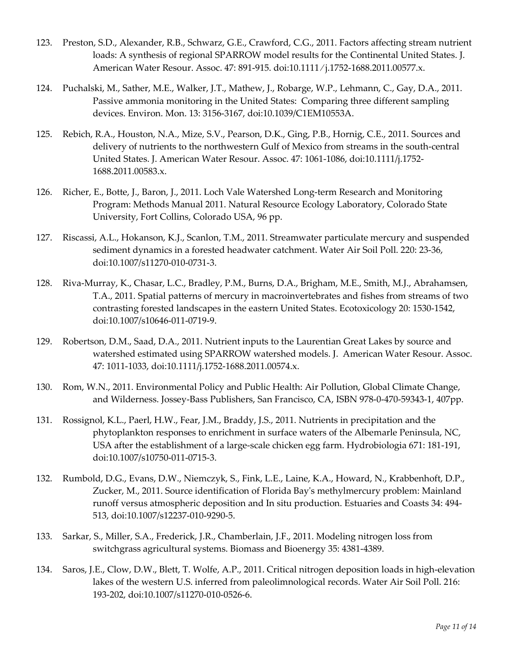- 123. Preston, S.D., Alexander, R.B., Schwarz, G.E., Crawford, C.G., 2011. Factors affecting stream nutrient loads: A synthesis of regional SPARROW model results for the Continental United States. J. American Water Resour. Assoc. 47: 891-915. doi:10.1111 ⁄ j.1752-1688.2011.00577.x.
- 124. Puchalski, M., Sather, M.E., Walker, J.T., Mathew, J., Robarge, W.P., Lehmann, C., Gay, D.A., 2011. Passive ammonia monitoring in the United States: Comparing three different sampling devices. Environ. Mon. 13: 3156-3167, doi:10.1039/C1EM10553A.
- 125. Rebich, R.A., Houston, N.A., Mize, S.V., Pearson, D.K., Ging, P.B., Hornig, C.E., 2011. Sources and delivery of nutrients to the northwestern Gulf of Mexico from streams in the south-central United States. J. American Water Resour. Assoc. 47: 1061-1086, doi:10.1111/j.1752- 1688.2011.00583.x.
- 126. Richer, E., Botte, J., Baron, J., 2011. Loch Vale Watershed Long-term Research and Monitoring Program: Methods Manual 2011. Natural Resource Ecology Laboratory, Colorado State University, Fort Collins, Colorado USA, 96 pp.
- 127. Riscassi, A.L., Hokanson, K.J., Scanlon, T.M., 2011. Streamwater particulate mercury and suspended sediment dynamics in a forested headwater catchment. Water Air Soil Poll. 220: 23-36, doi:10.1007/s11270-010-0731-3.
- 128. Riva-Murray, K., Chasar, L.C., Bradley, P.M., Burns, D.A., Brigham, M.E., Smith, M.J., Abrahamsen, T.A., 2011. Spatial patterns of mercury in macroinvertebrates and fishes from streams of two contrasting forested landscapes in the eastern United States. Ecotoxicology 20: 1530-1542, doi:10.1007/s10646-011-0719-9.
- 129. Robertson, D.M., Saad, D.A., 2011. Nutrient inputs to the Laurentian Great Lakes by source and watershed estimated using SPARROW watershed models. J. American Water Resour. Assoc. 47: 1011-1033, doi:10.1111/j.1752-1688.2011.00574.x.
- 130. Rom, W.N., 2011. Environmental Policy and Public Health: Air Pollution, Global Climate Change, and Wilderness. Jossey-Bass Publishers, San Francisco, CA, ISBN 978-0-470-59343-1, 407pp.
- 131. Rossignol, K.L., Paerl, H.W., Fear, J.M., Braddy, J.S., 2011. Nutrients in precipitation and the phytoplankton responses to enrichment in surface waters of the Albemarle Peninsula, NC, USA after the establishment of a large-scale chicken egg farm. Hydrobiologia 671: 181-191, doi:10.1007/s10750-011-0715-3.
- 132. Rumbold, D.G., Evans, D.W., Niemczyk, S., Fink, L.E., Laine, K.A., Howard, N., Krabbenhoft, D.P., Zucker, M., 2011. Source identification of Florida Bay's methylmercury problem: Mainland runoff versus atmospheric deposition and In situ production. Estuaries and Coasts 34: 494- 513, doi:10.1007/s12237-010-9290-5.
- 133. Sarkar, S., Miller, S.A., Frederick, J.R., Chamberlain, J.F., 2011. Modeling nitrogen loss from switchgrass agricultural systems. Biomass and Bioenergy 35: 4381-4389.
- 134. Saros, J.E., Clow, D.W., Blett, T. Wolfe, A.P., 2011. Critical nitrogen deposition loads in high-elevation lakes of the western U.S. inferred from paleolimnological records. Water Air Soil Poll. 216: 193-202, doi:10.1007/s11270-010-0526-6.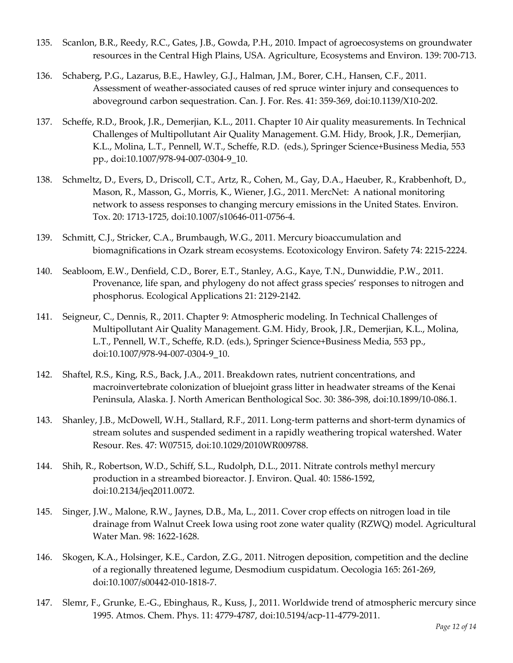- 135. Scanlon, B.R., Reedy, R.C., Gates, J.B., Gowda, P.H., 2010. Impact of agroecosystems on groundwater resources in the Central High Plains, USA. Agriculture, Ecosystems and Environ. 139: 700-713.
- 136. Schaberg, P.G., Lazarus, B.E., Hawley, G.J., Halman, J.M., Borer, C.H., Hansen, C.F., 2011. Assessment of weather-associated causes of red spruce winter injury and consequences to aboveground carbon sequestration. Can. J. For. Res. 41: 359-369, doi:10.1139/X10-202.
- 137. Scheffe, R.D., Brook, J.R., Demerjian, K.L., 2011. Chapter 10 Air quality measurements. In Technical Challenges of Multipollutant Air Quality Management. G.M. Hidy, Brook, J.R., Demerjian, K.L., Molina, L.T., Pennell, W.T., Scheffe, R.D. (eds.), Springer Science+Business Media, 553 pp., doi:10.1007/978-94-007-0304-9\_10.
- 138. Schmeltz, D., Evers, D., Driscoll, C.T., Artz, R., Cohen, M., Gay, D.A., Haeuber, R., Krabbenhoft, D., Mason, R., Masson, G., Morris, K., Wiener, J.G., 2011. MercNet: A national monitoring network to assess responses to changing mercury emissions in the United States. Environ. Tox. 20: 1713-1725, doi:10.1007/s10646-011-0756-4.
- 139. Schmitt, C.J., Stricker, C.A., Brumbaugh, W.G., 2011. Mercury bioaccumulation and biomagnifications in Ozark stream ecosystems. Ecotoxicology Environ. Safety 74: 2215-2224.
- 140. Seabloom, E.W., Denfield, C.D., Borer, E.T., Stanley, A.G., Kaye, T.N., Dunwiddie, P.W., 2011. Provenance, life span, and phylogeny do not affect grass species' responses to nitrogen and phosphorus. Ecological Applications 21: 2129-2142.
- 141. Seigneur, C., Dennis, R., 2011. Chapter 9: Atmospheric modeling. In Technical Challenges of Multipollutant Air Quality Management. G.M. Hidy, Brook, J.R., Demerjian, K.L., Molina, L.T., Pennell, W.T., Scheffe, R.D. (eds.), Springer Science+Business Media, 553 pp., doi:10.1007/978-94-007-0304-9\_10.
- 142. Shaftel, R.S., King, R.S., Back, J.A., 2011. Breakdown rates, nutrient concentrations, and macroinvertebrate colonization of bluejoint grass litter in headwater streams of the Kenai Peninsula, Alaska. J. North American Benthological Soc. 30: 386-398, doi:10.1899/10-086.1.
- 143. Shanley, J.B., McDowell, W.H., Stallard, R.F., 2011. Long-term patterns and short-term dynamics of stream solutes and suspended sediment in a rapidly weathering tropical watershed. Water Resour. Res. 47: W07515, doi:10.1029/2010WR009788.
- 144. Shih, R., Robertson, W.D., Schiff, S.L., Rudolph, D.L., 2011. Nitrate controls methyl mercury production in a streambed bioreactor. J. Environ. Qual. 40: 1586-1592, doi:10.2134/jeq2011.0072.
- 145. Singer, J.W., Malone, R.W., Jaynes, D.B., Ma, L., 2011. Cover crop effects on nitrogen load in tile drainage from Walnut Creek Iowa using root zone water quality (RZWQ) model[. Agricultural](http://www.sciencedirect.com/science/journal/03783774)  [Water Man.](http://www.sciencedirect.com/science/journal/03783774) 98: 1622-1628.
- 146. Skogen, K.A., Holsinger, K.E., Cardon, Z.G., 2011. Nitrogen deposition, competition and the decline of a regionally threatened legume, Desmodium cuspidatum. Oecologia 165: 261-269, doi:10.1007/s00442-010-1818-7.
- 147. Slemr, F., Grunke, E.-G., Ebinghaus, R., Kuss, J., 2011. Worldwide trend of atmospheric mercury since 1995. Atmos. Chem. Phys. 11: 4779-4787, doi:10.5194/acp-11-4779-2011.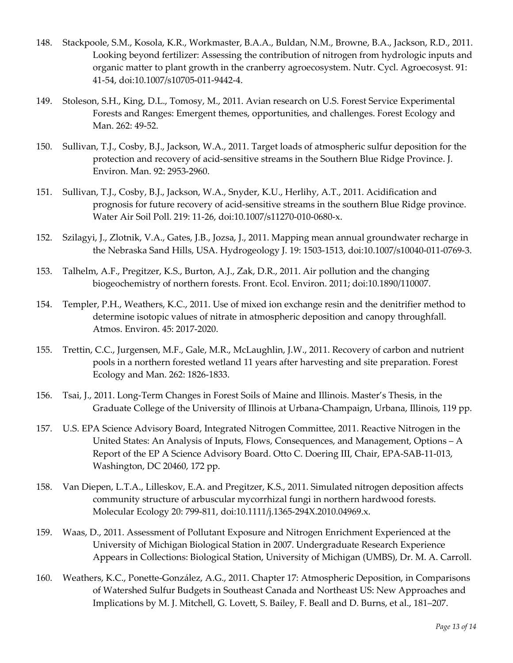- 148. Stackpoole, S.M., Kosola, K.R., Workmaster, B.A.A., Buldan, N.M., Browne, B.A., Jackson, R.D., 2011. Looking beyond fertilizer: Assessing the contribution of nitrogen from hydrologic inputs and organic matter to plant growth in the cranberry agroecosystem. Nutr. Cycl. Agroecosyst. 91: 41-54, doi:10.1007/s10705-011-9442-4.
- 149. Stoleson, S.H., King, D.L., Tomosy, M., 2011. Avian research on U.S. Forest Service Experimental Forests and Ranges: Emergent themes, opportunities, and challenges. Forest Ecology and Man. 262: 49-52.
- 150. Sullivan, T.J., Cosby, B.J., Jackson, W.A., 2011. Target loads of atmospheric sulfur deposition for the protection and recovery of acid-sensitive streams in the Southern Blue Ridge Province. J. Environ. Man. 92: 2953-2960.
- 151. Sullivan, T.J., Cosby, B.J., Jackson, W.A., Snyder, K.U., Herlihy, A.T., 2011. Acidification and prognosis for future recovery of acid-sensitive streams in the southern Blue Ridge province. Water Air Soil Poll. 219: 11-26, doi:10.1007/s11270-010-0680-x.
- 152. Szilagyi, J., Zlotnik, V.A., Gates, J.B., Jozsa, J., 2011. Mapping mean annual groundwater recharge in the Nebraska Sand Hills, USA. Hydrogeology J. 19: 1503-1513, doi:10.1007/s10040-011-0769-3.
- 153. Talhelm, A.F., Pregitzer, K.S., Burton, A.J., Zak, D.R., 2011. Air pollution and the changing biogeochemistry of northern forests. Front. Ecol. Environ. 2011; doi:10.1890/110007.
- 154. Templer, P.H., Weathers, K.C., 2011. Use of mixed ion exchange resin and the denitrifier method to determine isotopic values of nitrate in atmospheric deposition and canopy throughfall. Atmos. Environ. 45: 2017-2020.
- 155. Trettin, C.C., Jurgensen, M.F., Gale, M.R., McLaughlin, J.W., 2011. Recovery of carbon and nutrient pools in a northern forested wetland 11 years after harvesting and site preparation. Forest Ecology and Man. 262: 1826-1833.
- 156. Tsai, J., 2011. Long-Term Changes in Forest Soils of Maine and Illinois. Master's Thesis, in the Graduate College of the University of Illinois at Urbana-Champaign, Urbana, Illinois, 119 pp.
- 157. U.S. EPA Science Advisory Board, Integrated Nitrogen Committee, 2011. Reactive Nitrogen in the United States: An Analysis of Inputs, Flows, Consequences, and Management, Options – A Report of the EP A Science Advisory Board. Otto C. Doering III, Chair, EPA-SAB-11-013, Washington, DC 20460, 172 pp.
- 158. Van Diepen, L.T.A., Lilleskov, E.A. and Pregitzer, K.S., 2011. Simulated nitrogen deposition affects community structure of arbuscular mycorrhizal fungi in northern hardwood forests. Molecular Ecology 20: 799-811, doi:10.1111/j.1365-294X.2010.04969.x.
- 159. Waas, D., 2011. Assessment of Pollutant Exposure and Nitrogen Enrichment Experienced at the University of Michigan Biological Station in 2007. Undergraduate Research Experience Appears in Collections: [Biological Station, University of Michigan \(UMBS\),](http://deepblue.lib.umich.edu/handle/2027.42/49252) Dr. M. A. Carroll.
- 160. [Weathers,](http://www.springerlink.com/content/?Author=Kathleen+C.+Weathers) K.C., [Ponette-González,](http://www.springerlink.com/content/?Author=Alexandra+G.+Ponette-Gonz%c3%a1lez) A.G., 2011. Chapter 17: Atmospheric Deposition, in [Comparisons](http://www.springerlink.com/content/q04n253765843028/)  [of Watershed Sulfur Budgets in Southeast Canada and Northeast US: New Approaches and](http://www.springerlink.com/content/q04n253765843028/)  [Implications](http://www.springerlink.com/content/q04n253765843028/) by M. J. [Mitchell,](http://www.springerlink.com/content/?Author=Myron+J.+Mitchell) [G. Lovett,](http://www.springerlink.com/content/?Author=Gary+Lovett) [S. Bailey,](http://www.springerlink.com/content/?Author=Scott+Bailey) [F. Beall](http://www.springerlink.com/content/?Author=Fred+Beall) and [D. Burns,](http://www.springerlink.com/content/?Author=Doug+Burns) et al., 181–207.